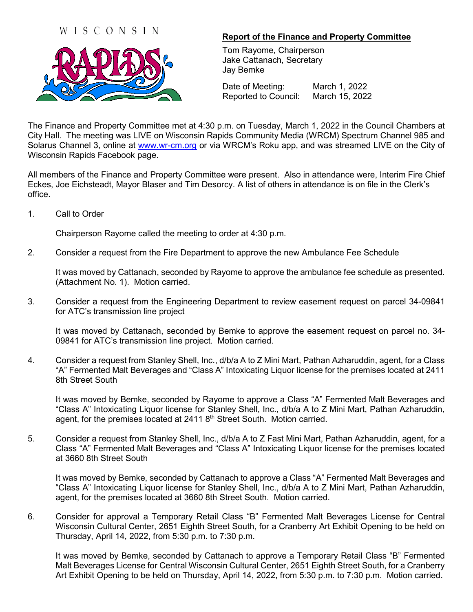## WISCONSIN



## **Report of the Finance and Property Committee**

Tom Rayome, Chairperson Jake Cattanach, Secretary Jay Bemke

Date of Meeting: March 1, 2022 Reported to Council: March 15, 2022

The Finance and Property Committee met at 4:30 p.m. on Tuesday, March 1, 2022 in the Council Chambers at City Hall. The meeting was LIVE on Wisconsin Rapids Community Media (WRCM) Spectrum Channel 985 and Solarus Channel 3, online at [www.wr-cm.org](http://www.wr-cm.org/) or via WRCM's Roku app, and was streamed LIVE on the City of Wisconsin Rapids Facebook page.

All members of the Finance and Property Committee were present. Also in attendance were, Interim Fire Chief Eckes, Joe Eichsteadt, Mayor Blaser and Tim Desorcy. A list of others in attendance is on file in the Clerk's office.

1. Call to Order

Chairperson Rayome called the meeting to order at 4:30 p.m.

2. Consider a request from the Fire Department to approve the new Ambulance Fee Schedule

It was moved by Cattanach, seconded by Rayome to approve the ambulance fee schedule as presented. (Attachment No. 1). Motion carried.

3. Consider a request from the Engineering Department to review easement request on parcel 34-09841 for ATC's transmission line project

It was moved by Cattanach, seconded by Bemke to approve the easement request on parcel no. 34- 09841 for ATC's transmission line project. Motion carried.

4. Consider a request from Stanley Shell, Inc., d/b/a A to Z Mini Mart, Pathan Azharuddin, agent, for a Class "A" Fermented Malt Beverages and "Class A" Intoxicating Liquor license for the premises located at 2411 8th Street South

It was moved by Bemke, seconded by Rayome to approve a Class "A" Fermented Malt Beverages and "Class A" Intoxicating Liquor license for Stanley Shell, Inc., d/b/a A to Z Mini Mart, Pathan Azharuddin, agent, for the premises located at 2411 8<sup>th</sup> Street South. Motion carried.

5. Consider a request from Stanley Shell, Inc., d/b/a A to Z Fast Mini Mart, Pathan Azharuddin, agent, for a Class "A" Fermented Malt Beverages and "Class A" Intoxicating Liquor license for the premises located at 3660 8th Street South

It was moved by Bemke, seconded by Cattanach to approve a Class "A" Fermented Malt Beverages and "Class A" Intoxicating Liquor license for Stanley Shell, Inc., d/b/a A to Z Mini Mart, Pathan Azharuddin, agent, for the premises located at 3660 8th Street South. Motion carried.

6. Consider for approval a Temporary Retail Class "B" Fermented Malt Beverages License for Central Wisconsin Cultural Center, 2651 Eighth Street South, for a Cranberry Art Exhibit Opening to be held on Thursday, April 14, 2022, from 5:30 p.m. to 7:30 p.m.

It was moved by Bemke, seconded by Cattanach to approve a Temporary Retail Class "B" Fermented Malt Beverages License for Central Wisconsin Cultural Center, 2651 Eighth Street South, for a Cranberry Art Exhibit Opening to be held on Thursday, April 14, 2022, from 5:30 p.m. to 7:30 p.m. Motion carried.